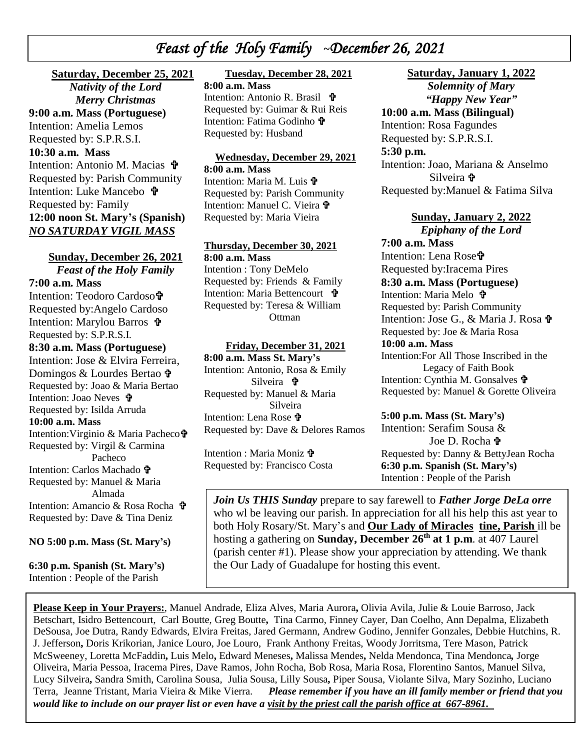# *Feast of the Holy Family* **~***December 26, 2021*

 **Saturday, December 25, 2021** *Nativity of the Lord Merry Christmas*

 *\* Intention: Amelia Lemos **9:00 a.m. Mass (Portuguese)** Requested by: S.P.R.S.I. **10:30 a.m. Mass**

Intention: Antonio M. Macias Requested by: Parish Community Intention: Luke Mancebo Requested by: Family **12:00 noon St. Mary's (Spanish)** *NO SATURDAY VIGIL MASS*

**Sunday, December 26, 2021** *Feast of the Holy Family*  **7:00 a.m. Mass** Intention: Teodoro Cardoso Requested by:Angelo Cardoso Intention: Marylou Barros Requested by: S.P.R.S.I. **8:30 a.m. Mass (Portuguese)** Intention: Jose & Elvira Ferreira, Domingos & Lourdes Bertao Requested by: Joao & Maria Bertao Intention: Joao Neves **t** Requested by: Isilda Arruda **10:00 a.m. Mass**  Intention:Virginio & Maria Pacheco Requested by: Virgil & Carmina Pacheco Intention: Carlos Machado **t** Requested by: Manuel & Maria Almada

Intention: Amancio & Rosa Rocha  $\mathbf{\hat{\mathbf{F}}}$ Requested by: Dave & Tina Deniz

**NO 5:00 p.m. Mass (St. Mary's)**

**6:30 p.m. Spanish (St. Mary's)** Intention : People of the Parish

## **Tuesday, December 28, 2021**

**8:00 a.m. Mass** Intention: Antonio R. Brasil Requested by: Guimar & Rui Reis Intention: Fatima Godinho Requested by: Husband

### **Wednesday, December 29, 2021**

**8:00 a.m. Mass** Intention: Maria M. Luis  $\mathbf{\hat{\Psi}}$ Requested by: Parish Community Intention: Manuel C. Vieira Requested by: Maria Vieira

#### **Thursday, December 30, 2021**

**8:00 a.m. Mass** Intention : Tony DeMelo Requested by: Friends & Family Intention: Maria Bettencourt Requested by: Teresa & William **Ottman** 

### **Friday, December 31, 2021**

**8:00 a.m. Mass St. Mary's** Intention: Antonio, Rosa & Emily Silveira Requested by: Manuel & Maria Silveira Intention: Lena Rose Requested by: Dave & Delores Ramos

Intention : Maria Moniz  $\mathbf{\hat{v}}$ Requested by: Francisco Costa

# **Saturday, January 1, 2022**

*Solemnity of Mary "Happy New Year"* **10:00 a.m. Mass (Bilingual)**  Intention: Rosa Fagundes Requested by: S.P.R.S.I. **5:30 p.m.**

Intention: Joao, Mariana & Anselmo Silveira Requested by:Manuel & Fatima Silva

# **Sunday, January 2, 2022**

*Epiphany of the Lord* **7:00 a.m. Mass** Intention: Lena Rose<sup>t</sup> Requested by:Iracema Pires **8:30 a.m. Mass (Portuguese)** Intention: Maria Melo **t** Requested by: Parish Community Intention: Jose G., & Maria J. Rosa Requested by: Joe & Maria Rosa **10:00 a.m. Mass**  Intention:For All Those Inscribed in the Legacy of Faith Book Intention: Cynthia M. Gonsalves Requested by: Manuel & Gorette Oliveira

## **5:00 p.m. Mass (St. Mary's)**

Intention: Serafim Sousa & Joe D. Rocha Requested by: Danny & BettyJean Rocha **6:30 p.m. Spanish (St. Mary's)** Intention : People of the Parish

*Join Us THIS Sunday* prepare to say farewell to *Father Jorge DeLa orre* who wl be leaving our parish. In appreciation for all his help this ast year to both Holy Rosary/St. Mary's and **Our Lady of Miracles tine, Parish** ill be hosting a gathering on **Sunday, December 26th at 1 p.m**. at 407 Laurel (parish center #1). Please show your appreciation by attending. We thank the Our Lady of Guadalupe for hosting this event.

**Please Keep in Your Prayers:**, Manuel Andrade, Eliza Alves, Maria Aurora**,** Olivia Avila, Julie & Louie Barroso, Jack Betschart, Isidro Bettencourt, Carl Boutte, Greg Boutte**,** Tina Carmo, Finney Cayer, Dan Coelho, Ann Depalma, Elizabeth DeSousa, Joe Dutra, Randy Edwards, Elvira Freitas, Jared Germann, Andrew Godino, Jennifer Gonzales, Debbie Hutchins, R. J. Jefferson**,** Doris Krikorian, Janice Louro, Joe Louro, Frank Anthony Freitas, Woody Jorritsma, Tere Mason, Patrick McSweeney, Loretta McFaddin**,** Luis Melo**,** Edward Meneses**,** Malissa Mendes**,** Nelda Mendonca, Tina Mendonca*,* Jorge Oliveira, Maria Pessoa, Iracema Pires, Dave Ramos, John Rocha, Bob Rosa, Maria Rosa, Florentino Santos, Manuel Silva, Lucy Silveira**,** Sandra Smith, Carolina Sousa, Julia Sousa, Lilly Sousa**,** Piper Sousa, Violante Silva, Mary Sozinho, Luciano Terra, Jeanne Tristant, Maria Vieira & Mike Vierra. *Please remember if you have an ill family member or friend that you would like to include on our prayer list or even have a visit by the priest call the parish office at 667-8961.*